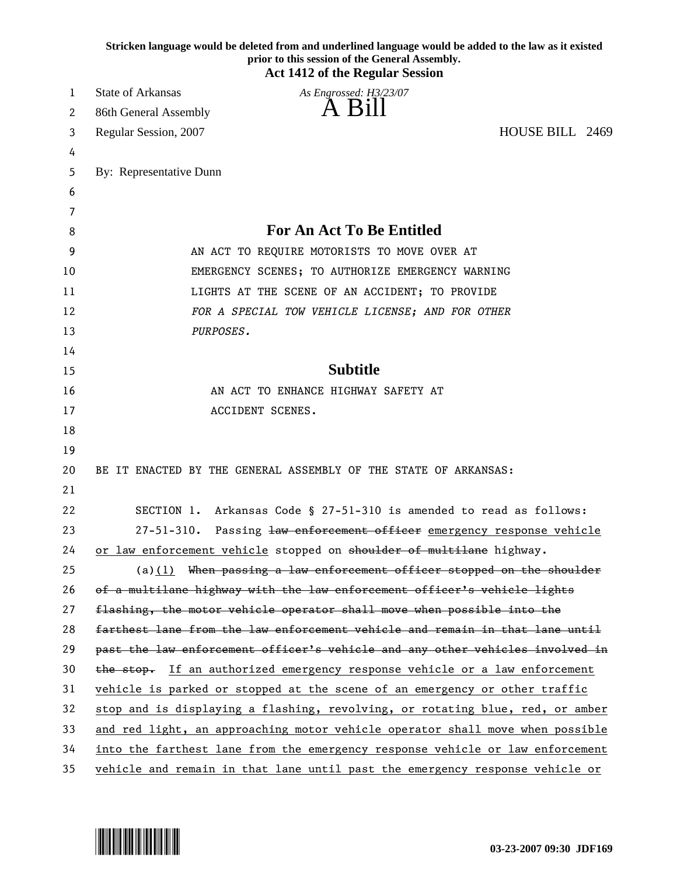|    | Stricken language would be deleted from and underlined language would be added to the law as it existed<br>prior to this session of the General Assembly.<br><b>Act 1412 of the Regular Session</b> |
|----|-----------------------------------------------------------------------------------------------------------------------------------------------------------------------------------------------------|
| 1  | <b>State of Arkansas</b><br>As Engrossed: H3/23/07                                                                                                                                                  |
| 2  | A Bill<br>86th General Assembly                                                                                                                                                                     |
| 3  | HOUSE BILL 2469<br>Regular Session, 2007                                                                                                                                                            |
| 4  |                                                                                                                                                                                                     |
| 5  | By: Representative Dunn                                                                                                                                                                             |
| 6  |                                                                                                                                                                                                     |
| 7  |                                                                                                                                                                                                     |
| 8  | <b>For An Act To Be Entitled</b>                                                                                                                                                                    |
| 9  | AN ACT TO REQUIRE MOTORISTS TO MOVE OVER AT                                                                                                                                                         |
| 10 | EMERGENCY SCENES; TO AUTHORIZE EMERGENCY WARNING                                                                                                                                                    |
| 11 | LIGHTS AT THE SCENE OF AN ACCIDENT; TO PROVIDE                                                                                                                                                      |
| 12 | FOR A SPECIAL TOW VEHICLE LICENSE; AND FOR OTHER                                                                                                                                                    |
| 13 | PURPOSES.                                                                                                                                                                                           |
| 14 |                                                                                                                                                                                                     |
| 15 | <b>Subtitle</b>                                                                                                                                                                                     |
| 16 | AN ACT TO ENHANCE HIGHWAY SAFETY AT                                                                                                                                                                 |
| 17 | ACCIDENT SCENES.                                                                                                                                                                                    |
| 18 |                                                                                                                                                                                                     |
| 19 |                                                                                                                                                                                                     |
| 20 | BE IT ENACTED BY THE GENERAL ASSEMBLY OF THE STATE OF ARKANSAS:                                                                                                                                     |
| 21 |                                                                                                                                                                                                     |
| 22 | SECTION 1. Arkansas Code § 27-51-310 is amended to read as follows:                                                                                                                                 |
| 23 | Passing law enforcement officer emergency response vehicle<br>$27 - 51 - 310$ .                                                                                                                     |
| 24 | or law enforcement vehicle stopped on shoulder of multilane highway.                                                                                                                                |
| 25 | $(a)(1)$ When passing a law enforcement officer stopped on the shoulder                                                                                                                             |
| 26 | of a multilane highway with the law enforcement officer's vehicle lights                                                                                                                            |
| 27 | flashing, the motor vehicle operator shall move when possible into the                                                                                                                              |
| 28 | farthest lane from the law enforcement vehicle and remain in that lane until                                                                                                                        |
| 29 | past the law enforcement officer's vehicle and any other vehicles involved in                                                                                                                       |
| 30 | the stop. If an authorized emergency response vehicle or a law enforcement                                                                                                                          |
| 31 | vehicle is parked or stopped at the scene of an emergency or other traffic                                                                                                                          |
| 32 | stop and is displaying a flashing, revolving, or rotating blue, red, or amber                                                                                                                       |
| 33 | and red light, an approaching motor vehicle operator shall move when possible                                                                                                                       |
| 34 | into the farthest lane from the emergency response vehicle or law enforcement                                                                                                                       |
| 35 | vehicle and remain in that lane until past the emergency response vehicle or                                                                                                                        |

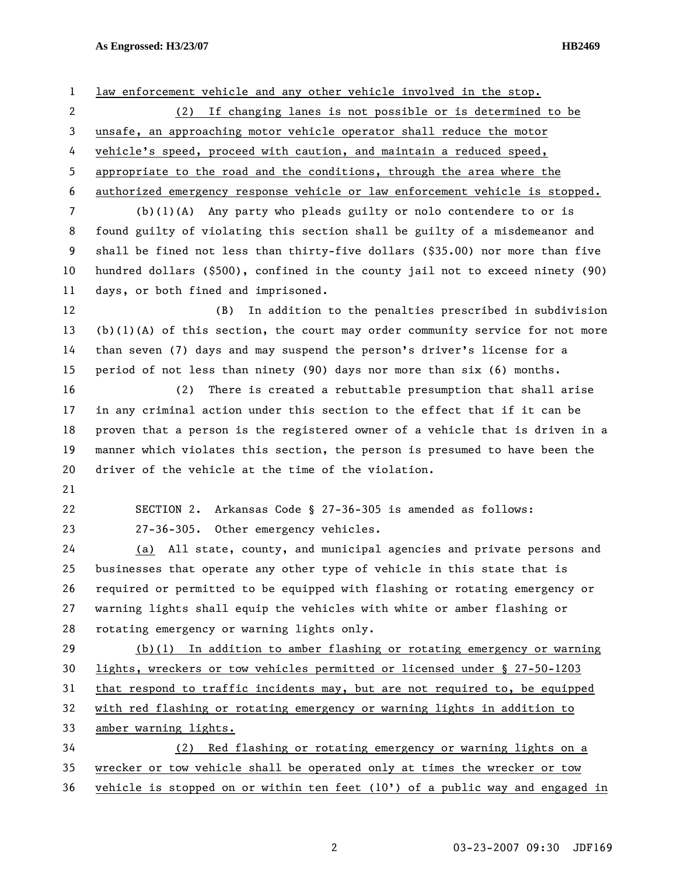## **As Engrossed: H3/23/07 HB2469**

1 law enforcement vehicle and any other vehicle involved in the stop. 2 (2) If changing lanes is not possible or is determined to be 3 unsafe, an approaching motor vehicle operator shall reduce the motor 4 vehicle's speed, proceed with caution, and maintain a reduced speed, 5 appropriate to the road and the conditions, through the area where the 6 authorized emergency response vehicle or law enforcement vehicle is stopped. 7 (b)(1)(A) Any party who pleads guilty or nolo contendere to or is 8 found guilty of violating this section shall be guilty of a misdemeanor and 9 shall be fined not less than thirty-five dollars (\$35.00) nor more than five 10 hundred dollars (\$500), confined in the county jail not to exceed ninety (90) 11 days, or both fined and imprisoned. 12 (B) In addition to the penalties prescribed in subdivision 13 (b)(1)(A) of this section, the court may order community service for not more 14 than seven (7) days and may suspend the person's driver's license for a 15 period of not less than ninety (90) days nor more than six (6) months. 16 (2) There is created a rebuttable presumption that shall arise 17 in any criminal action under this section to the effect that if it can be 18 proven that a person is the registered owner of a vehicle that is driven in a 19 manner which violates this section, the person is presumed to have been the 20 driver of the vehicle at the time of the violation. 21 22 SECTION 2. Arkansas Code § 27-36-305 is amended as follows: 23 27-36-305. Other emergency vehicles. 24 (a) All state, county, and municipal agencies and private persons and 25 businesses that operate any other type of vehicle in this state that is 26 required or permitted to be equipped with flashing or rotating emergency or 27 warning lights shall equip the vehicles with white or amber flashing or 28 rotating emergency or warning lights only. 29 (b)(1) In addition to amber flashing or rotating emergency or warning 30 lights, wreckers or tow vehicles permitted or licensed under § 27-50-1203 31 that respond to traffic incidents may, but are not required to, be equipped 32 with red flashing or rotating emergency or warning lights in addition to 33 amber warning lights. 34 (2) Red flashing or rotating emergency or warning lights on a 35 wrecker or tow vehicle shall be operated only at times the wrecker or tow 36 vehicle is stopped on or within ten feet (10') of a public way and engaged in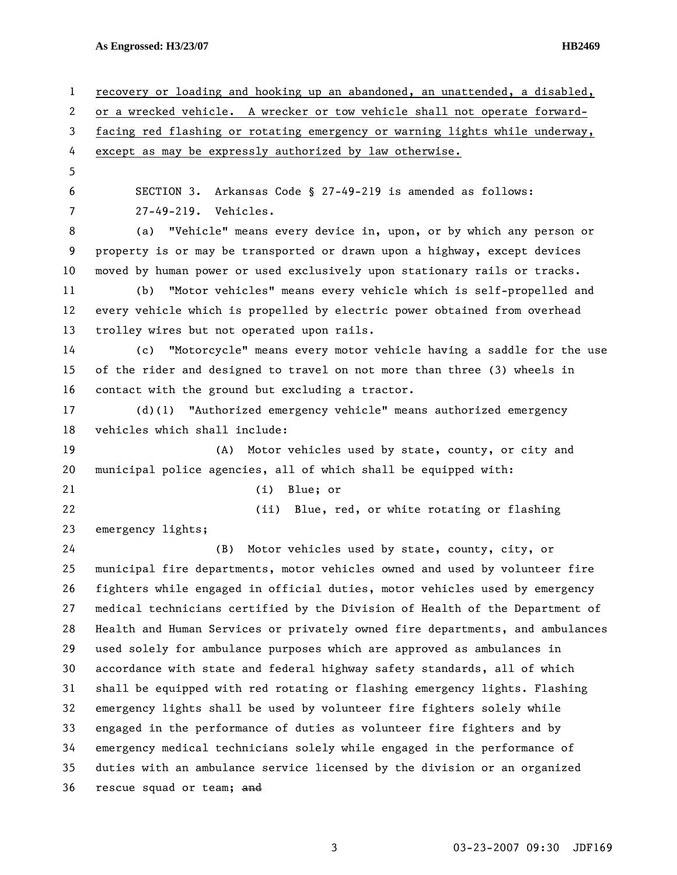**As Engrossed: H3/23/07 HB2469** 

1 recovery or loading and hooking up an abandoned, an unattended, a disabled, 2 or a wrecked vehicle. A wrecker or tow vehicle shall not operate forward-3 facing red flashing or rotating emergency or warning lights while underway, 4 except as may be expressly authorized by law otherwise. 5 6 SECTION 3. Arkansas Code § 27-49-219 is amended as follows: 7 27-49-219. Vehicles. 8 (a) "Vehicle" means every device in, upon, or by which any person or 9 property is or may be transported or drawn upon a highway, except devices 10 moved by human power or used exclusively upon stationary rails or tracks. 11 (b) "Motor vehicles" means every vehicle which is self-propelled and 12 every vehicle which is propelled by electric power obtained from overhead 13 trolley wires but not operated upon rails. 14 (c) "Motorcycle" means every motor vehicle having a saddle for the use 15 of the rider and designed to travel on not more than three (3) wheels in 16 contact with the ground but excluding a tractor. 17 (d)(1) "Authorized emergency vehicle" means authorized emergency 18 vehicles which shall include: 19 (A) Motor vehicles used by state, county, or city and 20 municipal police agencies, all of which shall be equipped with: 21 (i) Blue; or 22 (ii) Blue, red, or white rotating or flashing 23 emergency lights; 24 (B) Motor vehicles used by state, county, city, or 25 municipal fire departments, motor vehicles owned and used by volunteer fire 26 fighters while engaged in official duties, motor vehicles used by emergency 27 medical technicians certified by the Division of Health of the Department of 28 Health and Human Services or privately owned fire departments, and ambulances 29 used solely for ambulance purposes which are approved as ambulances in 30 accordance with state and federal highway safety standards, all of which 31 shall be equipped with red rotating or flashing emergency lights. Flashing 32 emergency lights shall be used by volunteer fire fighters solely while 33 engaged in the performance of duties as volunteer fire fighters and by 34 emergency medical technicians solely while engaged in the performance of 35 duties with an ambulance service licensed by the division or an organized 36 rescue squad or team; and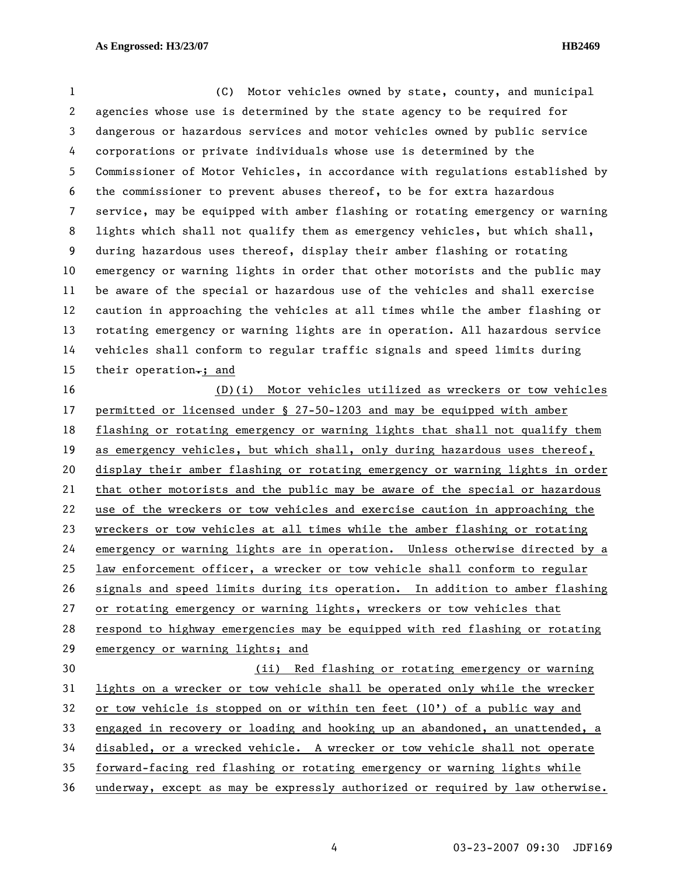1 (C) Motor vehicles owned by state, county, and municipal 2 agencies whose use is determined by the state agency to be required for 3 dangerous or hazardous services and motor vehicles owned by public service 4 corporations or private individuals whose use is determined by the 5 Commissioner of Motor Vehicles, in accordance with regulations established by 6 the commissioner to prevent abuses thereof, to be for extra hazardous 7 service, may be equipped with amber flashing or rotating emergency or warning 8 lights which shall not qualify them as emergency vehicles, but which shall, 9 during hazardous uses thereof, display their amber flashing or rotating 10 emergency or warning lights in order that other motorists and the public may 11 be aware of the special or hazardous use of the vehicles and shall exercise 12 caution in approaching the vehicles at all times while the amber flashing or 13 rotating emergency or warning lights are in operation. All hazardous service 14 vehicles shall conform to regular traffic signals and speed limits during 15 their operation $\div$ ; and 16 (D)(i) Motor vehicles utilized as wreckers or tow vehicles 17 permitted or licensed under § 27-50-1203 and may be equipped with amber 18 flashing or rotating emergency or warning lights that shall not qualify them 19 as emergency vehicles, but which shall, only during hazardous uses thereof, 20 display their amber flashing or rotating emergency or warning lights in order 21 that other motorists and the public may be aware of the special or hazardous 22 use of the wreckers or tow vehicles and exercise caution in approaching the 23 wreckers or tow vehicles at all times while the amber flashing or rotating 24 emergency or warning lights are in operation. Unless otherwise directed by a 25 law enforcement officer, a wrecker or tow vehicle shall conform to regular 26 signals and speed limits during its operation. In addition to amber flashing 27 or rotating emergency or warning lights, wreckers or tow vehicles that 28 respond to highway emergencies may be equipped with red flashing or rotating 29 emergency or warning lights; and 30 (ii) Red flashing or rotating emergency or warning 31 lights on a wrecker or tow vehicle shall be operated only while the wrecker 32 or tow vehicle is stopped on or within ten feet (10') of a public way and 33 engaged in recovery or loading and hooking up an abandoned, an unattended, a 34 disabled, or a wrecked vehicle. A wrecker or tow vehicle shall not operate 35 forward-facing red flashing or rotating emergency or warning lights while 36 underway, except as may be expressly authorized or required by law otherwise.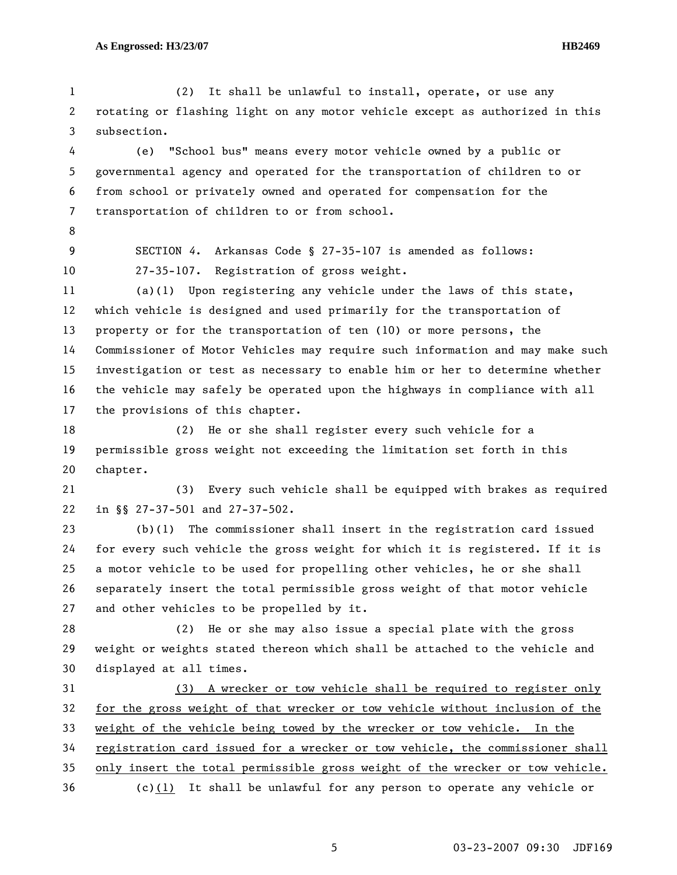1 (2) It shall be unlawful to install, operate, or use any 2 rotating or flashing light on any motor vehicle except as authorized in this 3 subsection.

4 (e) "School bus" means every motor vehicle owned by a public or 5 governmental agency and operated for the transportation of children to or 6 from school or privately owned and operated for compensation for the 7 transportation of children to or from school.

- 8
- 

9 SECTION *4*. Arkansas Code § 27-35-107 is amended as follows: 10 27-35-107. Registration of gross weight.

11 (a)(1) Upon registering any vehicle under the laws of this state, 12 which vehicle is designed and used primarily for the transportation of 13 property or for the transportation of ten (10) or more persons, the 14 Commissioner of Motor Vehicles may require such information and may make such 15 investigation or test as necessary to enable him or her to determine whether 16 the vehicle may safely be operated upon the highways in compliance with all 17 the provisions of this chapter.

18 (2) He or she shall register every such vehicle for a 19 permissible gross weight not exceeding the limitation set forth in this 20 chapter.

21 (3) Every such vehicle shall be equipped with brakes as required 22 in §§ 27-37-501 and 27-37-502.

23 (b)(1) The commissioner shall insert in the registration card issued 24 for every such vehicle the gross weight for which it is registered. If it is 25 a motor vehicle to be used for propelling other vehicles, he or she shall 26 separately insert the total permissible gross weight of that motor vehicle 27 and other vehicles to be propelled by it.

28 (2) He or she may also issue a special plate with the gross 29 weight or weights stated thereon which shall be attached to the vehicle and 30 displayed at all times.

31 (3) A wrecker or tow vehicle shall be required to register only 32 for the gross weight of that wrecker or tow vehicle without inclusion of the 33 weight of the vehicle being towed by the wrecker or tow vehicle. In the 34 registration card issued for a wrecker or tow vehicle, the commissioner shall 35 only insert the total permissible gross weight of the wrecker or tow vehicle.

36 (c)(1) It shall be unlawful for any person to operate any vehicle or